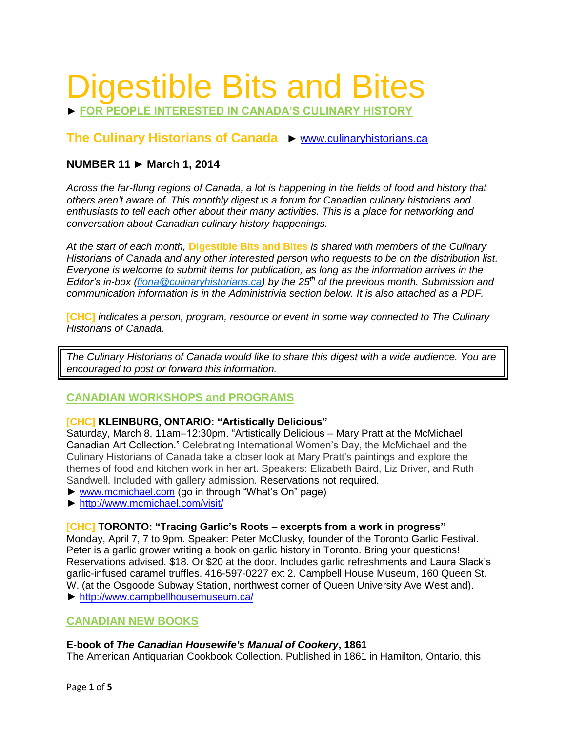# Digestible Bits and Bites

► **FOR PEOPLE INTERESTED IN CANADA'S CULINARY HISTORY**

# **The Culinary Historians of Canada** ► [www.culinaryhistorians.ca](http://www.culinaryhistorians.ca/)

# **NUMBER 11 ► March 1, 2014**

*Across the far-flung regions of Canada, a lot is happening in the fields of food and history that others aren't aware of. This monthly digest is a forum for Canadian culinary historians and enthusiasts to tell each other about their many activities. This is a place for networking and conversation about Canadian culinary history happenings.* 

*At the start of each month,* **Digestible Bits and Bites** *is shared with members of the Culinary Historians of Canada and any other interested person who requests to be on the distribution list. Everyone is welcome to submit items for publication, as long as the information arrives in the Editor's in-box [\(fiona@culinaryhistorians.ca\)](mailto:fiona@culinaryhistorians.ca) by the 25th of the previous month. Submission and communication information is in the Administrivia section below. It is also attached as a PDF.*

**[CHC]** *indicates a person, program, resource or event in some way connected to The Culinary Historians of Canada.*

*The Culinary Historians of Canada would like to share this digest with a wide audience. You are encouraged to post or forward this information.*

# **CANADIAN WORKSHOPS and PROGRAMS**

#### **[CHC] KLEINBURG, ONTARIO: "Artistically Delicious"**

Saturday, March 8, 11am–12:30pm. "Artistically Delicious – Mary Pratt at the McMichael Canadian Art Collection." Celebrating International Women's Day, the McMichael and the Culinary Historians of Canada take a closer look at Mary Pratt's paintings and explore the themes of food and kitchen work in her art. Speakers: Elizabeth Baird, Liz Driver, and Ruth Sandwell. Included with gallery admission. Reservations not required.

- ► [www.mcmichael.com](http://www.mcmichael.com/) (go in through "What's On" page)
- ► <http://www.mcmichael.com/visit/>

#### **[CHC] TORONTO: "Tracing Garlic's Roots – excerpts from a work in progress"**

Monday, April 7, 7 to 9pm. Speaker: Peter McClusky, founder of the Toronto Garlic Festival. Peter is a garlic grower writing a book on garlic history in Toronto. Bring your questions! Reservations advised. \$18. Or \$20 at the door. Includes garlic refreshments and Laura Slack's garlic-infused caramel truffles. 416-597-0227 ext 2. Campbell House Museum, 160 Queen St. W. (at the Osgoode Subway Station, northwest corner of Queen University Ave West and). ► <http://www.campbellhousemuseum.ca/>

# **CANADIAN NEW BOOKS**

#### **E-book of** *The Canadian Housewife's Manual of Cookery***, 1861**

The American Antiquarian Cookbook Collection. Published in 1861 in Hamilton, Ontario, this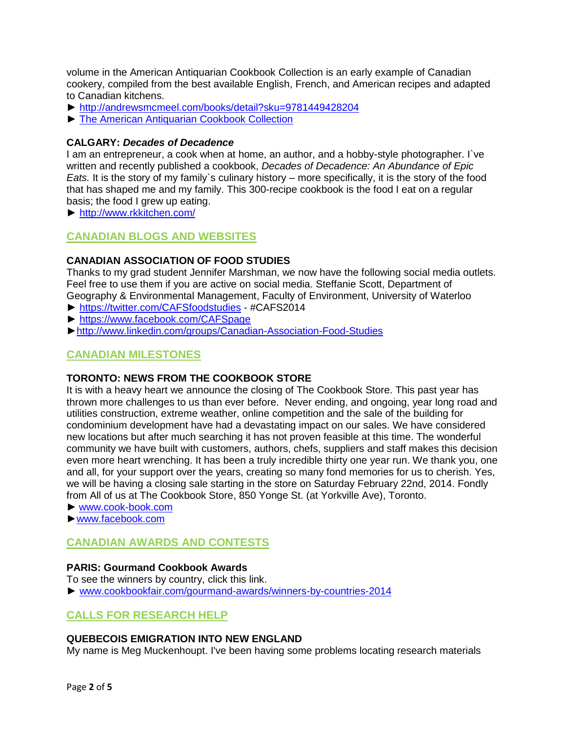volume in the American Antiquarian Cookbook Collection is an early example of Canadian cookery, compiled from the best available English, French, and American recipes and adapted to Canadian kitchens.

- ► <http://andrewsmcmeel.com/books/detail?sku=9781449428204>
- ► [The American Antiquarian Cookbook Collection](http://andrewsmcmeel.com/search?indexCatalogue=default&searchQuery=The+American+Antiquarian+Cookbook+Collection&wordsMode=0)

## **CALGARY:** *Decades of Decadence*

I am an entrepreneur, a cook when at home, an author, and a hobby-style photographer. I`ve written and recently published a cookbook, *Decades of Decadence: An Abundance of Epic Eats.* It is the story of my family's culinary history – more specifically, it is the story of the food that has shaped me and my family. This 300-recipe cookbook is the food I eat on a regular basis; the food I grew up eating.

► <http://www.rkkitchen.com/>

# **CANADIAN BLOGS AND WEBSITES**

## **CANADIAN ASSOCIATION OF FOOD STUDIES**

Thanks to my grad student Jennifer Marshman, we now have the following social media outlets. Feel free to use them if you are active on social media. [Steffanie Scott,](http://env.uwaterloo.ca/u/sdscott/index.htm) Department of Geography & Environmental Management, Faculty of Environment, University of Waterloo

- ► <https://twitter.com/CAFSfoodstudies> #CAFS2014
- ► <https://www.facebook.com/CAFSpage>
- [►http://www.linkedin.com/groups/Canadian-Association-Food-Studies](http://www.linkedin.com/groups/Canadian-Association-Food-Studies-3916447?home=&gid=3916447&trk=anet_ug_hm)

# **CANADIAN MILESTONES**

#### **TORONTO: NEWS FROM THE COOKBOOK STORE**

It is with a heavy heart we announce the closing of The Cookbook Store. This past year has thrown more challenges to us than ever before. Never ending, and ongoing, year long road and utilities construction, extreme weather, online competition and the sale of the building for condominium development have had a devastating impact on our sales. We have considered new locations but after much searching it has not proven feasible at this time. The wonderful community we have built with customers, authors, chefs, suppliers and staff makes this decision even more heart wrenching. It has been a truly incredible thirty one year run. We thank you, one and all, for your support over the years, creating so many fond memories for us to cherish. Yes, we will be having a closing sale starting in the store on Saturday February 22nd, 2014. Fondly from All of us at The Cookbook Store, 850 Yonge St. (at Yorkville Ave), Toronto.

- ► [www.cook-book.com](http://www.cook-book.com/)
- [►www.facebook.com](http://www.facebook.com/)

# **CANADIAN AWARDS AND CONTESTS**

#### **PARIS: Gourmand Cookbook Awards**

To see the winners by country, click this link. ► [www.cookbookfair.com/gourmand-awards/winners-by-countries-2014](http://www.cookbookfair.com/index.php/gourmand-awards/winners-2014-gg/winners-by-countries-gourmand-awards-2014)

# **CALLS FOR RESEARCH HELP**

# **QUEBECOIS EMIGRATION INTO NEW ENGLAND**

My name is Meg Muckenhoupt. I've been having some problems locating research materials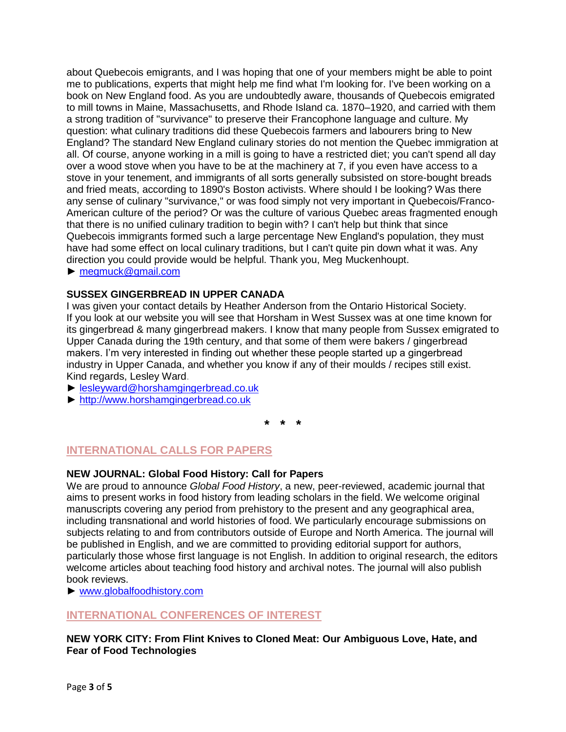about Quebecois emigrants, and I was hoping that one of your members might be able to point me to publications, experts that might help me find what I'm looking for. I've been working on a book on New England food. As you are undoubtedly aware, thousands of Quebecois emigrated to mill towns in Maine, Massachusetts, and Rhode Island ca. 1870–1920, and carried with them a strong tradition of "survivance" to preserve their Francophone language and culture. My question: what culinary traditions did these Quebecois farmers and labourers bring to New England? The standard New England culinary stories do not mention the Quebec immigration at all. Of course, anyone working in a mill is going to have a restricted diet; you can't spend all day over a wood stove when you have to be at the machinery at 7, if you even have access to a stove in your tenement, and immigrants of all sorts generally subsisted on store-bought breads and fried meats, according to 1890's Boston activists. Where should I be looking? Was there any sense of culinary "survivance," or was food simply not very important in Quebecois/Franco-American culture of the period? Or was the culture of various Quebec areas fragmented enough that there is no unified culinary tradition to begin with? I can't help but think that since Quebecois immigrants formed such a large percentage New England's population, they must have had some effect on local culinary traditions, but I can't quite pin down what it was. Any direction you could provide would be helpful. Thank you, Meg Muckenhoupt.

► [megmuck@gmail.com](mailto:megmuck@gmail.com)

# **SUSSEX GINGERBREAD IN UPPER CANADA**

I was given your contact details by Heather Anderson from the Ontario Historical Society. If you look at our website you will see that Horsham in West Sussex was at one time known for its gingerbread & many gingerbread makers. I know that many people from Sussex emigrated to Upper Canada during the 19th century, and that some of them were bakers / gingerbread makers. I'm very interested in finding out whether these people started up a gingerbread industry in Upper Canada, and whether you know if any of their moulds / recipes still exist. Kind regards, Lesley Ward.

► [lesleyward@horshamgingerbread.co.uk](mailto:lesleyward@horshamgingerbread.co.uk)

► [http://www.horshamgingerbread.co.uk](http://www.horshamgingerbread.co.uk/)

**\* \* \***

# **INTERNATIONAL CALLS FOR PAPERS**

# **NEW JOURNAL: Global Food History: Call for Papers**

We are proud to announce *Global Food History*, a new, peer-reviewed, academic journal that aims to present works in food history from leading scholars in the field. We welcome original manuscripts covering any period from prehistory to the present and any geographical area, including transnational and world histories of food. We particularly encourage submissions on subjects relating to and from contributors outside of Europe and North America. The journal will be published in English, and we are committed to providing editorial support for authors, particularly those whose first language is not English. In addition to original research, the editors welcome articles about teaching food history and archival notes. The journal will also publish book reviews.

► [www.globalfoodhistory.com](http://www.globalfoodhistory.com/)

# **INTERNATIONAL CONFERENCES OF INTEREST**

**NEW YORK CITY: From Flint Knives to Cloned Meat: Our Ambiguous Love, Hate, and Fear of Food Technologies**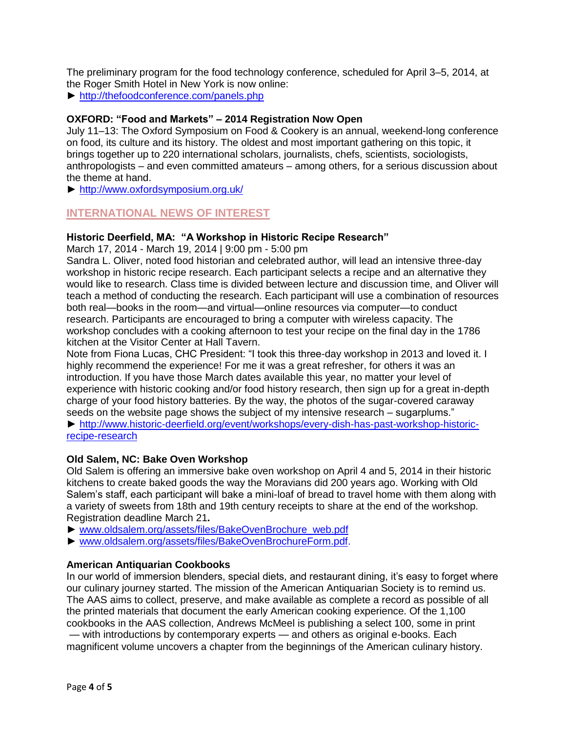The preliminary program for the food technology conference, scheduled for April 3–5, 2014, at the Roger Smith Hotel in New York is now online:

► <http://thefoodconference.com/panels.php>

## **OXFORD: "Food and Markets" – 2014 Registration Now Open**

July 11–13: The Oxford Symposium on Food & Cookery is an annual, weekend-long conference on food, its culture and its history. The oldest and most important gathering on this topic, it brings together up to 220 international scholars, journalists, chefs, scientists, sociologists, anthropologists – and even committed amateurs – among others, for a serious discussion about the theme at hand.

► <http://www.oxfordsymposium.org.uk/>

# **INTERNATIONAL NEWS OF INTEREST**

#### **Historic Deerfield, MA: "A Workshop in Historic Recipe Research"**

March 17, 2014 - March 19, 2014 | 9:00 pm - 5:00 pm

Sandra L. Oliver, noted food historian and celebrated author, will lead an intensive three-day workshop in historic recipe research. Each participant selects a recipe and an alternative they would like to research. Class time is divided between lecture and discussion time, and Oliver will teach a method of conducting the research. Each participant will use a combination of resources both real—books in the room—and virtual—online resources via computer—to conduct research. Participants are encouraged to bring a computer with wireless capacity. The workshop concludes with a cooking afternoon to test your recipe on the final day in the 1786 kitchen at the Visitor Center at Hall Tavern.

Note from Fiona Lucas, CHC President: "I took this three-day workshop in 2013 and loved it. I highly recommend the experience! For me it was a great refresher, for others it was an introduction. If you have those March dates available this year, no matter your level of experience with historic cooking and/or food history research, then sign up for a great in-depth charge of your food history batteries. By the way, the photos of the sugar-covered caraway seeds on the website page shows the subject of my intensive research – sugarplums."

► [http://www.historic-deerfield.org/event/workshops/every-dish-has-past-workshop-historic](http://www.historic-deerfield.org/event/workshops/every-dish-has-past-workshop-historic-recipe-research)[recipe-research](http://www.historic-deerfield.org/event/workshops/every-dish-has-past-workshop-historic-recipe-research)

#### **Old Salem, NC: Bake Oven Workshop**

Old Salem is offering an immersive bake oven workshop on April 4 and 5, 2014 in their historic kitchens to create baked goods the way the Moravians did 200 years ago. Working with Old Salem's staff, each participant will bake a mini-loaf of bread to travel home with them along with a variety of sweets from 18th and 19th century receipts to share at the end of the workshop. Registration deadline March 21**.**

- ► [www.oldsalem.org/assets/files/BakeOvenBrochure\\_web.pdf](http://cts.vresp.com/c/?AssociationforLiving/bdbe984d4a/95270a250a/ec96af2a1f)
- ► [www.oldsalem.org/assets/files/BakeOvenBrochureForm.pdf.](http://cts.vresp.com/c/?AssociationforLiving/bdbe984d4a/95270a250a/b389bef194)

#### **American Antiquarian Cookbooks**

In our world of immersion blenders, special diets, and restaurant dining, it's easy to forget where our culinary journey started. The mission of the American Antiquarian Society is to remind us. The AAS aims to collect, preserve, and make available as complete a record as possible of all the printed materials that document the early American cooking experience. Of the 1,100 cookbooks in the AAS collection, Andrews McMeel is publishing a select 100, some in print — with introductions by contemporary experts — and others as original e-books. Each magnificent volume uncovers a chapter from the beginnings of the American culinary history.